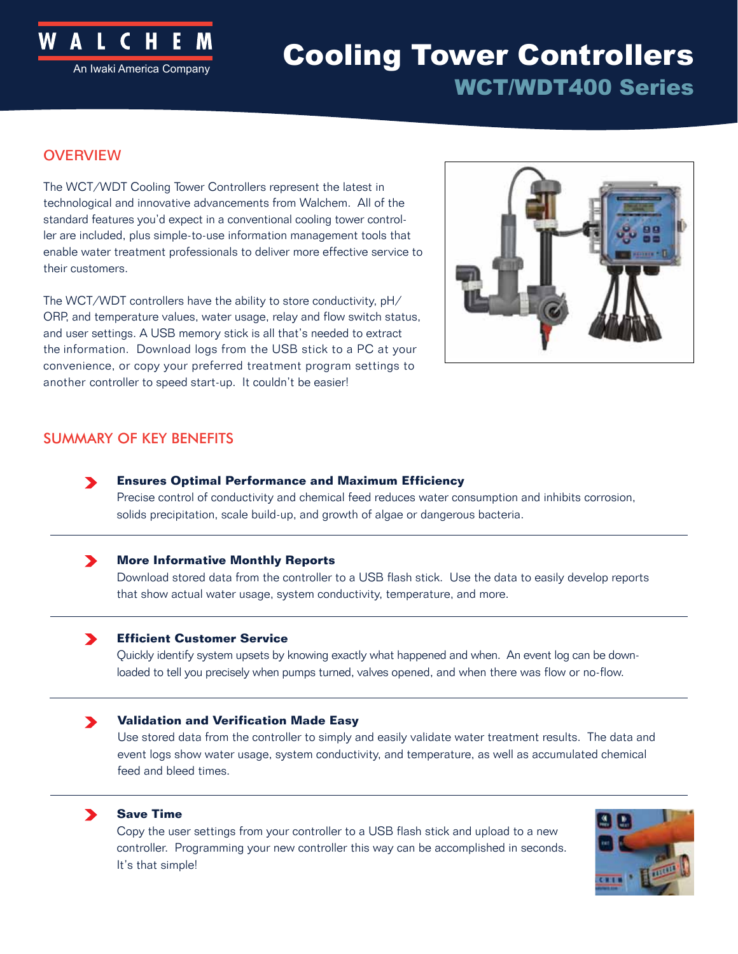

# **ACT AMERICA COOLING TOWER CONTROLLERS** WCT/WDT400 Series

# **OVERVIEW**

The WCT/WDT Cooling Tower Controllers represent the latest in technological and innovative advancements from Walchem. All of the standard features you'd expect in a conventional cooling tower controller are included, plus simple-to-use information management tools that enable water treatment professionals to deliver more effective service to their customers.

The WCT/WDT controllers have the ability to store conductivity, pH/ ORP, and temperature values, water usage, relay and flow switch status, and user settings. A USB memory stick is all that's needed to extract the information. Download logs from the USB stick to a PC at your convenience, or copy your preferred treatment program settings to another controller to speed start-up. It couldn't be easier!



# SUMMARY OF KEY BENEFITS

**Ensures Optimal Performance and Maximum Efficiency**   $\blacktriangleright$ 

Precise control of conductivity and chemical feed reduces water consumption and inhibits corrosion, solids precipitation, scale build-up, and growth of algae or dangerous bacteria.

#### **More Informative Monthly Reports**   $\blacktriangleright$

Download stored data from the controller to a USB flash stick. Use the data to easily develop reports that show actual water usage, system conductivity, temperature, and more.

#### **Efficient Customer Service**  $\blacktriangleright$

Quickly identify system upsets by knowing exactly what happened and when. An event log can be downloaded to tell you precisely when pumps turned, valves opened, and when there was flow or no-flow.

#### $\blacktriangleright$ **Validation and Verification Made Easy**

Use stored data from the controller to simply and easily validate water treatment results. The data and event logs show water usage, system conductivity, and temperature, as well as accumulated chemical feed and bleed times.

### **Save Time**

 $\blacktriangleright$ 

Copy the user settings from your controller to a USB flash stick and upload to a new controller. Programming your new controller this way can be accomplished in seconds. It's that simple!

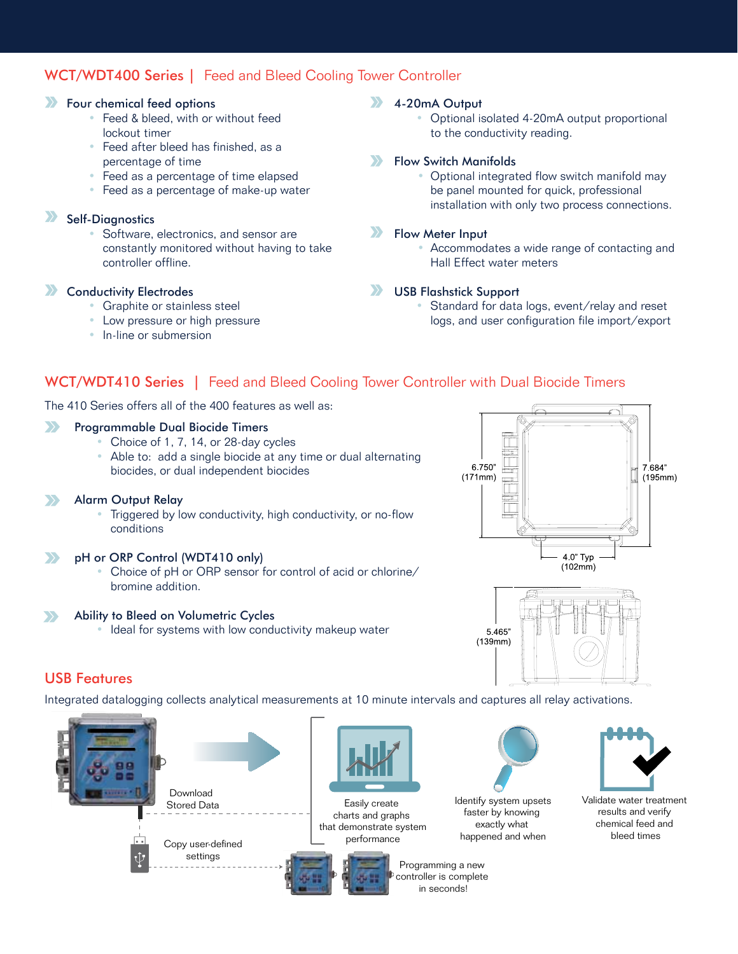# WCT/WDT400 Series | Feed and Bleed Cooling Tower Controller

### **Solution** Four chemical feed options

- Feed & bleed, with or without feed lockout timer
- Feed after bleed has finished, as a percentage of time
- Feed as a percentage of time elapsed
- Feed as a percentage of make-up water

#### $\sum$ Self-Diagnostics

• Software, electronics, and sensor are constantly monitored without having to take controller offline.

#### Conductivity Electrodes  $\sum$

- Graphite or stainless steel
- Low pressure or high pressure
- In-line or submersion

### **X** 4-20mA Output

• Optional isolated 4-20mA output proportional to the conductivity reading.

#### $\sum$ Flow Switch Manifolds

 • Optional integrated flow switch manifold may be panel mounted for quick, professional installation with only two process connections.

#### $\sum$ Flow Meter Input

 • Accommodates a wide range of contacting and Hall Effect water meters

#### $\sum$ USB Flashstick Support

• Standard for data logs, event/relay and reset logs, and user configuration file import/export

# WCT/WDT410 Series | Feed and Bleed Cooling Tower Controller with Dual Biocide Timers

The 410 Series offers all of the 400 features as well as:

#### $\sum$ Programmable Dual Biocide Timers

- Choice of 1, 7, 14, or 28-day cycles
- Able to: add a single biocide at any time or dual alternating biocides, or dual independent biocides

#### Alarm Output Relay  $\sum$

• Triggered by low conductivity, high conductivity, or no-flow conditions

#### pH or ORP Control (WDT410 only)  $\sum$

• Choice of pH or ORP sensor for control of acid or chlorine/ bromine addition.

#### Ability to Bleed on Volumetric Cycles  $\sum$

Ideal for systems with low conductivity makeup water





### USB Features

Integrated datalogging collects analytical measurements at 10 minute intervals and captures all relay activations.





Easily create charts and graphs that demonstrate system performance



Programming a new controller is complete in seconds!





faster by knowing exactly what happened and when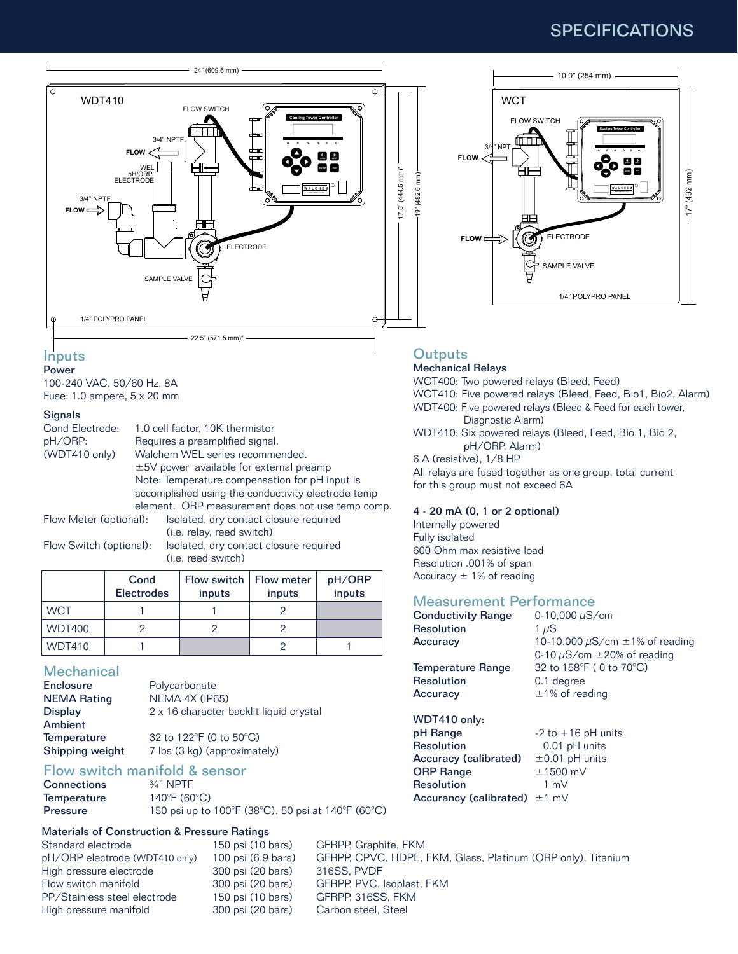# SPECIFICATIONS



### **Inputs**

Power 100-240 VAC, 50/60 Hz, 8A Fuse: 1.0 ampere, 5 x 20 mm

### Signals

| Cond Electrode:         |  | 1.0 cell factor, 10K thermistor                    |  |  |
|-------------------------|--|----------------------------------------------------|--|--|
| pH/ORP:                 |  | Requires a preamplified signal.                    |  |  |
| (WDT410 only)           |  | Walchem WEL series recommended.                    |  |  |
|                         |  | $\pm$ 5V power available for external preamp       |  |  |
|                         |  | Note: Temperature compensation for pH input is     |  |  |
|                         |  | accomplished using the conductivity electrode temp |  |  |
|                         |  | element. ORP measurement does not use temp comp.   |  |  |
| Flow Meter (optional):  |  | Isolated, dry contact closure required             |  |  |
|                         |  | (i.e. relay, reed switch)                          |  |  |
| Flow Switch (optional): |  | Isolated, dry contact closure required             |  |  |
|                         |  | (i.e. reed switch)                                 |  |  |

|  | i.e. reed switch) |  |
|--|-------------------|--|
|  |                   |  |

|               | Cond<br><b>Electrodes</b> | Flow switch   Flow meter<br>inputs | inputs | pH/ORP<br>inputs |
|---------------|---------------------------|------------------------------------|--------|------------------|
| <b>WCT</b>    |                           |                                    |        |                  |
| <b>WDT400</b> |                           |                                    |        |                  |
| <b>WDT410</b> |                           |                                    |        |                  |

### **Mechanical**

| Enclosure          | Polycarbonate                           |
|--------------------|-----------------------------------------|
| <b>NEMA Rating</b> | NEMA 4X (IP65)                          |
| Display            | 2 x 16 character backlit liquid crystal |
| Ambient            |                                         |
| Temperature        | 32 to 122°F (0 to 50°C)                 |
| Shipping weight    | 7 lbs (3 kg) (approximately)            |

# Flow switch manifold & sensor

| 150 psi up to 100°F (38°C), 50 psi at 140°F (60°C) |
|----------------------------------------------------|
|                                                    |

### Materials of Construction & Pressure Ratings

| Standard electrode             | 150 psi (1 |
|--------------------------------|------------|
| pH/ORP electrode (WDT410 only) | 100 psi (6 |
| High pressure electrode        | 300 psi (2 |
| Flow switch manifold           | 300 psi (2 |
| PP/Stainless steel electrode   | 150 psi (1 |
| High pressure manifold         | 300 psi (2 |

0 bars) GFRPP, Graphite, FKM 0.9 bars) GFRPP, CPVC, HDPE, FKM, Glass, Platinum (ORP only), Titanium 0 bars) 316SS, PVDF 0 bars) GFRPP, PVC, Isoplast, FKM 0 bars) GFRPP, 316SS, FKM 0 bars) Carbon steel, Steel



### **Outputs**

Mechanical Relays WCT400: Two powered relays (Bleed, Feed) WCT410: Five powered relays (Bleed, Feed, Bio1, Bio2, Alarm) WDT400: Five powered relays (Bleed & Feed for each tower, Diagnostic Alarm) WDT410: Six powered relays (Bleed, Feed, Bio 1, Bio 2, pH/ORP, Alarm) 6 A (resistive), 1/8 HP All relays are fused together as one group, total current for this group must not exceed 6A

#### 4 - 20 mA (0, 1 or 2 optional)

Internally powered Fully isolated 600 Ohm max resistive load Resolution .001% of span Accuracy  $\pm$  1% of reading

### Measurement Performance

| <b>Conductivity Range</b>         | 0-10,000 $\mu$ S/cm                      |
|-----------------------------------|------------------------------------------|
| <b>Resolution</b>                 | 1 µS                                     |
| Accuracy                          | 10-10,000 $\mu$ S/cm $\pm$ 1% of reading |
|                                   | 0-10 $\mu$ S/cm $\pm$ 20% of reading     |
| Temperature Range                 | 32 to 158°F (0 to 70°C)                  |
| <b>Resolution</b>                 | 0.1 degree                               |
| Accuracy                          | $\pm$ 1% of reading                      |
| WDT410 only:                      |                                          |
| pH Range                          | $-2$ to $+16$ pH units                   |
| <b>Resolution</b>                 | 0.01 pH units                            |
| Accuracy (calibrated)             | $\pm 0.01$ pH units                      |
| <b>ORP Range</b>                  | $±1500$ mV                               |
| <b>Resolution</b>                 | 1 m $V$                                  |
| Accurancy (calibrated) $\pm 1$ mV |                                          |